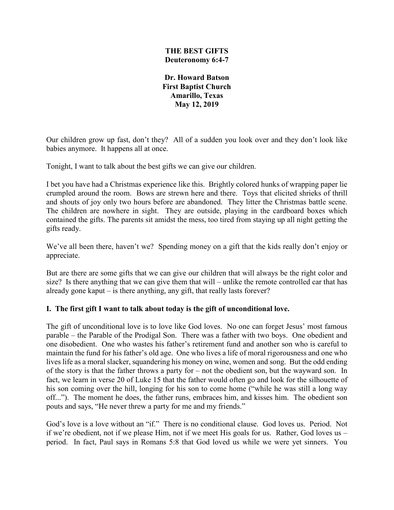#### **THE BEST GIFTS Deuteronomy 6:4-7**

**Dr. Howard Batson First Baptist Church Amarillo, Texas May 12, 2019**

Our children grow up fast, don't they? All of a sudden you look over and they don't look like babies anymore. It happens all at once.

Tonight, I want to talk about the best gifts we can give our children.

I bet you have had a Christmas experience like this. Brightly colored hunks of wrapping paper lie crumpled around the room. Bows are strewn here and there. Toys that elicited shrieks of thrill and shouts of joy only two hours before are abandoned. They litter the Christmas battle scene. The children are nowhere in sight. They are outside, playing in the cardboard boxes which contained the gifts. The parents sit amidst the mess, too tired from staying up all night getting the gifts ready.

We've all been there, haven't we? Spending money on a gift that the kids really don't enjoy or appreciate.

But are there are some gifts that we can give our children that will always be the right color and size? Is there anything that we can give them that will – unlike the remote controlled car that has already gone kaput – is there anything, any gift, that really lasts forever?

# **I. The first gift I want to talk about today is the gift of unconditional love.**

The gift of unconditional love is to love like God loves. No one can forget Jesus' most famous parable – the Parable of the Prodigal Son. There was a father with two boys. One obedient and one disobedient. One who wastes his father's retirement fund and another son who is careful to maintain the fund for his father's old age. One who lives a life of moral rigorousness and one who lives life as a moral slacker, squandering his money on wine, women and song. But the odd ending of the story is that the father throws a party for – not the obedient son, but the wayward son. In fact, we learn in verse 20 of Luke 15 that the father would often go and look for the silhouette of his son coming over the hill, longing for his son to come home ("while he was still a long way off..."). The moment he does, the father runs, embraces him, and kisses him. The obedient son pouts and says, "He never threw a party for me and my friends."

God's love is a love without an "if." There is no conditional clause. God loves us. Period. Not if we're obedient, not if we please Him, not if we meet His goals for us. Rather, God loves us – period. In fact, Paul says in Romans 5:8 that God loved us while we were yet sinners. You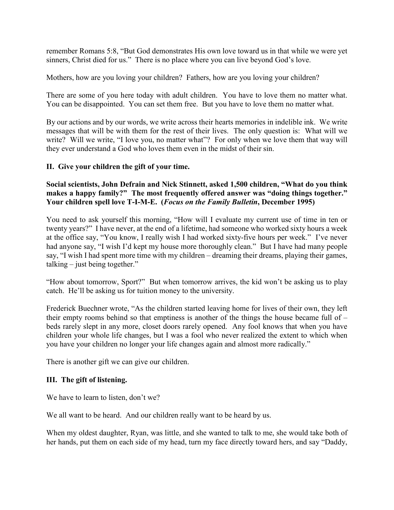remember Romans 5:8, "But God demonstrates His own love toward us in that while we were yet sinners, Christ died for us." There is no place where you can live beyond God's love.

Mothers, how are you loving your children? Fathers, how are you loving your children?

There are some of you here today with adult children. You have to love them no matter what. You can be disappointed. You can set them free. But you have to love them no matter what.

By our actions and by our words, we write across their hearts memories in indelible ink. We write messages that will be with them for the rest of their lives. The only question is: What will we write? Will we write, "I love you, no matter what"? For only when we love them that way will they ever understand a God who loves them even in the midst of their sin.

#### **II. Give your children the gift of your time.**

# **Social scientists, John Defrain and Nick Stinnett, asked 1,500 children, "What do you think makes a happy family?" The most frequently offered answer was "doing things together." Your children spell love T-I-M-E. (***Focus on the Family Bulletin***, December 1995)**

You need to ask yourself this morning, "How will I evaluate my current use of time in ten or twenty years?" I have never, at the end of a lifetime, had someone who worked sixty hours a week at the office say, "You know, I really wish I had worked sixty-five hours per week." I've never had anyone say, "I wish I'd kept my house more thoroughly clean." But I have had many people say, "I wish I had spent more time with my children – dreaming their dreams, playing their games, talking – just being together."

"How about tomorrow, Sport?" But when tomorrow arrives, the kid won't be asking us to play catch. He'll be asking us for tuition money to the university.

Frederick Buechner wrote, "As the children started leaving home for lives of their own, they left their empty rooms behind so that emptiness is another of the things the house became full of – beds rarely slept in any more, closet doors rarely opened. Any fool knows that when you have children your whole life changes, but I was a fool who never realized the extent to which when you have your children no longer your life changes again and almost more radically."

There is another gift we can give our children.

# **III. The gift of listening.**

We have to learn to listen, don't we?

We all want to be heard. And our children really want to be heard by us.

When my oldest daughter, Ryan, was little, and she wanted to talk to me, she would take both of her hands, put them on each side of my head, turn my face directly toward hers, and say "Daddy,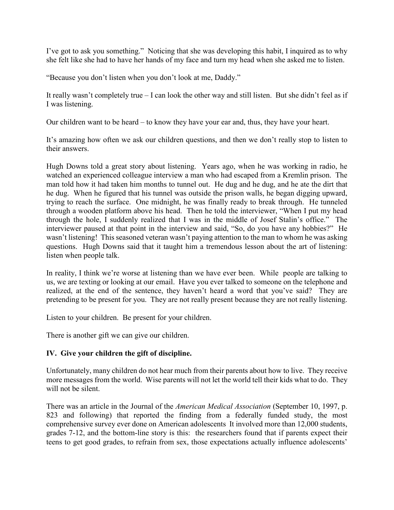I've got to ask you something." Noticing that she was developing this habit, I inquired as to why she felt like she had to have her hands of my face and turn my head when she asked me to listen.

"Because you don't listen when you don't look at me, Daddy."

It really wasn't completely true – I can look the other way and still listen. But she didn't feel as if I was listening.

Our children want to be heard – to know they have your ear and, thus, they have your heart.

It's amazing how often we ask our children questions, and then we don't really stop to listen to their answers.

Hugh Downs told a great story about listening. Years ago, when he was working in radio, he watched an experienced colleague interview a man who had escaped from a Kremlin prison. The man told how it had taken him months to tunnel out. He dug and he dug, and he ate the dirt that he dug. When he figured that his tunnel was outside the prison walls, he began digging upward, trying to reach the surface. One midnight, he was finally ready to break through. He tunneled through a wooden platform above his head. Then he told the interviewer, "When I put my head through the hole, I suddenly realized that I was in the middle of Josef Stalin's office." The interviewer paused at that point in the interview and said, "So, do you have any hobbies?" He wasn't listening! This seasoned veteran wasn't paying attention to the man to whom he was asking questions. Hugh Downs said that it taught him a tremendous lesson about the art of listening: listen when people talk.

In reality, I think we're worse at listening than we have ever been. While people are talking to us, we are texting or looking at our email. Have you ever talked to someone on the telephone and realized, at the end of the sentence, they haven't heard a word that you've said? They are pretending to be present for you. They are not really present because they are not really listening.

Listen to your children. Be present for your children.

There is another gift we can give our children.

# **IV. Give your children the gift of discipline.**

Unfortunately, many children do not hear much from their parents about how to live. They receive more messages from the world. Wise parents will not let the world tell their kids what to do. They will not be silent.

There was an article in the Journal of the *American Medical Association* (September 10, 1997, p. 823 and following) that reported the finding from a federally funded study, the most comprehensive survey ever done on American adolescents It involved more than 12,000 students, grades 7-12, and the bottom-line story is this: the researchers found that if parents expect their teens to get good grades, to refrain from sex, those expectations actually influence adolescents'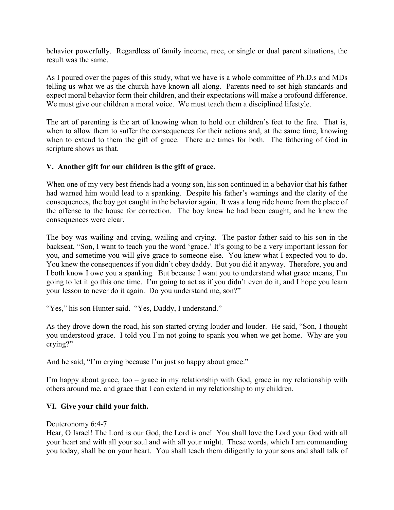behavior powerfully. Regardless of family income, race, or single or dual parent situations, the result was the same.

As I poured over the pages of this study, what we have is a whole committee of Ph.D.s and MDs telling us what we as the church have known all along. Parents need to set high standards and expect moral behavior form their children, and their expectations will make a profound difference. We must give our children a moral voice. We must teach them a disciplined lifestyle.

The art of parenting is the art of knowing when to hold our children's feet to the fire. That is, when to allow them to suffer the consequences for their actions and, at the same time, knowing when to extend to them the gift of grace. There are times for both. The fathering of God in scripture shows us that.

# **V. Another gift for our children is the gift of grace.**

When one of my very best friends had a young son, his son continued in a behavior that his father had warned him would lead to a spanking. Despite his father's warnings and the clarity of the consequences, the boy got caught in the behavior again. It was a long ride home from the place of the offense to the house for correction. The boy knew he had been caught, and he knew the consequences were clear.

The boy was wailing and crying, wailing and crying. The pastor father said to his son in the backseat, "Son, I want to teach you the word 'grace.' It's going to be a very important lesson for you, and sometime you will give grace to someone else. You knew what I expected you to do. You knew the consequences if you didn't obey daddy. But you did it anyway. Therefore, you and I both know I owe you a spanking. But because I want you to understand what grace means, I'm going to let it go this one time. I'm going to act as if you didn't even do it, and I hope you learn your lesson to never do it again. Do you understand me, son?"

"Yes," his son Hunter said. "Yes, Daddy, I understand."

As they drove down the road, his son started crying louder and louder. He said, "Son, I thought you understood grace. I told you I'm not going to spank you when we get home. Why are you crying?"

And he said, "I'm crying because I'm just so happy about grace."

I'm happy about grace, too – grace in my relationship with God, grace in my relationship with others around me, and grace that I can extend in my relationship to my children.

# **VI. Give your child your faith.**

#### Deuteronomy 6:4-7

Hear, O Israel! The Lord is our God, the Lord is one! You shall love the Lord your God with all your heart and with all your soul and with all your might. These words, which I am commanding you today, shall be on your heart. You shall teach them diligently to your sons and shall talk of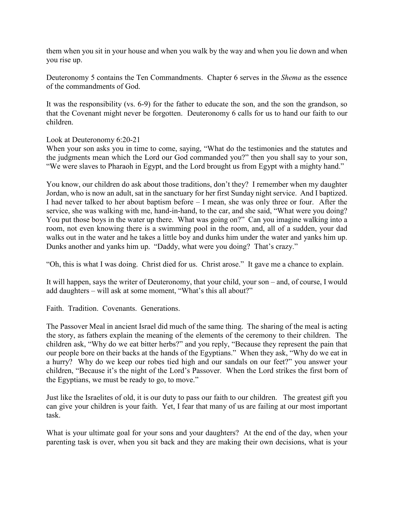them when you sit in your house and when you walk by the way and when you lie down and when you rise up.

Deuteronomy 5 contains the Ten Commandments. Chapter 6 serves in the *Shema* as the essence of the commandments of God.

It was the responsibility (vs. 6-9) for the father to educate the son, and the son the grandson, so that the Covenant might never be forgotten. Deuteronomy 6 calls for us to hand our faith to our children.

Look at Deuteronomy 6:20-21

When your son asks you in time to come, saying, "What do the testimonies and the statutes and the judgments mean which the Lord our God commanded you?" then you shall say to your son, "We were slaves to Pharaoh in Egypt, and the Lord brought us from Egypt with a mighty hand."

You know, our children do ask about those traditions, don't they? I remember when my daughter Jordan, who is now an adult, sat in the sanctuary for her first Sunday night service. And I baptized. I had never talked to her about baptism before – I mean, she was only three or four. After the service, she was walking with me, hand-in-hand, to the car, and she said, "What were you doing? You put those boys in the water up there. What was going on?" Can you imagine walking into a room, not even knowing there is a swimming pool in the room, and, all of a sudden, your dad walks out in the water and he takes a little boy and dunks him under the water and yanks him up. Dunks another and yanks him up. "Daddy, what were you doing? That's crazy."

"Oh, this is what I was doing. Christ died for us. Christ arose." It gave me a chance to explain.

It will happen, says the writer of Deuteronomy, that your child, your son – and, of course, I would add daughters – will ask at some moment, "What's this all about?"

Faith. Tradition. Covenants. Generations.

The Passover Meal in ancient Israel did much of the same thing. The sharing of the meal is acting the story, as fathers explain the meaning of the elements of the ceremony to their children. The children ask, "Why do we eat bitter herbs?" and you reply, "Because they represent the pain that our people bore on their backs at the hands of the Egyptians." When they ask, "Why do we eat in a hurry? Why do we keep our robes tied high and our sandals on our feet?" you answer your children, "Because it's the night of the Lord's Passover. When the Lord strikes the first born of the Egyptians, we must be ready to go, to move."

Just like the Israelites of old, it is our duty to pass our faith to our children. The greatest gift you can give your children is your faith. Yet, I fear that many of us are failing at our most important task.

What is your ultimate goal for your sons and your daughters? At the end of the day, when your parenting task is over, when you sit back and they are making their own decisions, what is your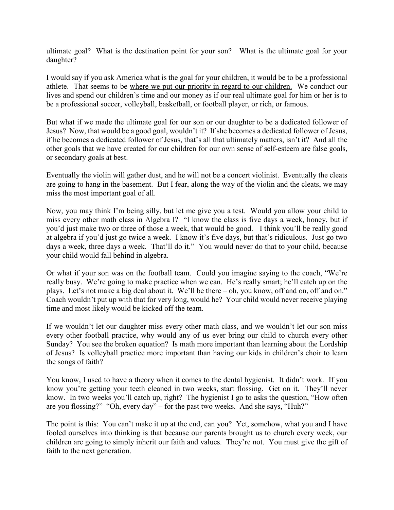ultimate goal? What is the destination point for your son? What is the ultimate goal for your daughter?

I would say if you ask America what is the goal for your children, it would be to be a professional athlete. That seems to be where we put our priority in regard to our children. We conduct our lives and spend our children's time and our money as if our real ultimate goal for him or her is to be a professional soccer, volleyball, basketball, or football player, or rich, or famous.

But what if we made the ultimate goal for our son or our daughter to be a dedicated follower of Jesus? Now, that would be a good goal, wouldn't it? If she becomes a dedicated follower of Jesus, if he becomes a dedicated follower of Jesus, that's all that ultimately matters, isn't it? And all the other goals that we have created for our children for our own sense of self-esteem are false goals, or secondary goals at best.

Eventually the violin will gather dust, and he will not be a concert violinist. Eventually the cleats are going to hang in the basement. But I fear, along the way of the violin and the cleats, we may miss the most important goal of all.

Now, you may think I'm being silly, but let me give you a test. Would you allow your child to miss every other math class in Algebra I? "I know the class is five days a week, honey, but if you'd just make two or three of those a week, that would be good. I think you'll be really good at algebra if you'd just go twice a week. I know it's five days, but that's ridiculous. Just go two days a week, three days a week. That'll do it." You would never do that to your child, because your child would fall behind in algebra.

Or what if your son was on the football team. Could you imagine saying to the coach, "We're really busy. We're going to make practice when we can. He's really smart; he'll catch up on the plays. Let's not make a big deal about it. We'll be there – oh, you know, off and on, off and on." Coach wouldn't put up with that for very long, would he? Your child would never receive playing time and most likely would be kicked off the team.

If we wouldn't let our daughter miss every other math class, and we wouldn't let our son miss every other football practice, why would any of us ever bring our child to church every other Sunday? You see the broken equation? Is math more important than learning about the Lordship of Jesus? Is volleyball practice more important than having our kids in children's choir to learn the songs of faith?

You know, I used to have a theory when it comes to the dental hygienist. It didn't work. If you know you're getting your teeth cleaned in two weeks, start flossing. Get on it. They'll never know. In two weeks you'll catch up, right? The hygienist I go to asks the question, "How often are you flossing?" "Oh, every day" – for the past two weeks. And she says, "Huh?"

The point is this: You can't make it up at the end, can you? Yet, somehow, what you and I have fooled ourselves into thinking is that because our parents brought us to church every week, our children are going to simply inherit our faith and values. They're not. You must give the gift of faith to the next generation.